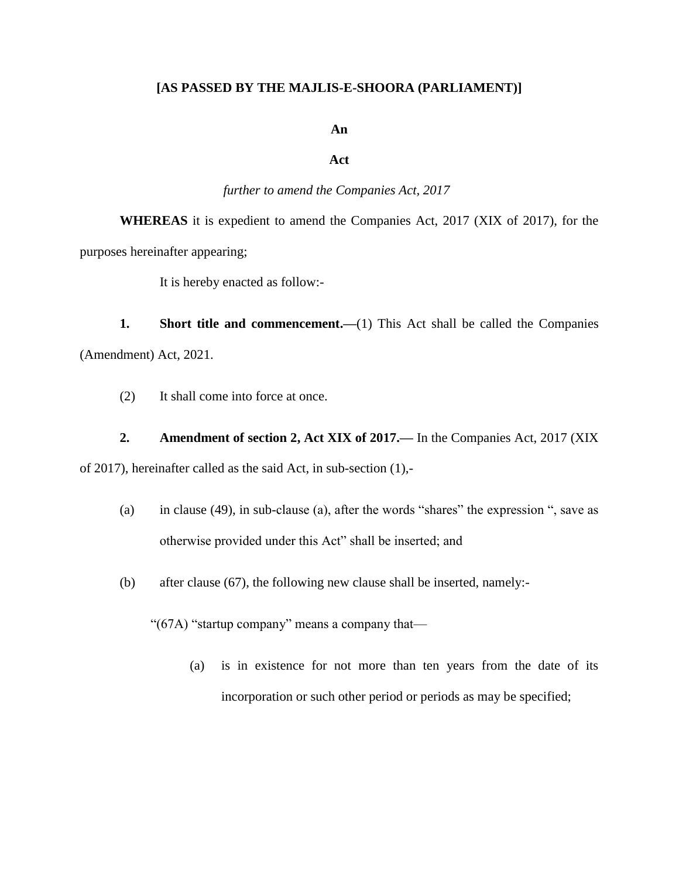# **[AS PASSED BY THE MAJLIS-E-SHOORA (PARLIAMENT)]**

#### **An**

### **Act**

### *further to amend the Companies Act, 2017*

**WHEREAS** it is expedient to amend the Companies Act, 2017 (XIX of 2017), for the purposes hereinafter appearing;

It is hereby enacted as follow:-

**1. Short title and commencement.**—(1) This Act shall be called the Companies (Amendment) Act, 2021.

(2) It shall come into force at once.

# **2. Amendment of section 2, Act XIX of 2017.—** In the Companies Act, 2017 (XIX

of 2017), hereinafter called as the said Act, in sub-section (1),-

- (a) in clause (49), in sub-clause (a), after the words "shares" the expression ", save as otherwise provided under this Act" shall be inserted; and
- (b) after clause (67), the following new clause shall be inserted, namely:-

"(67A) "startup company" means a company that—

(a) is in existence for not more than ten years from the date of its incorporation or such other period or periods as may be specified;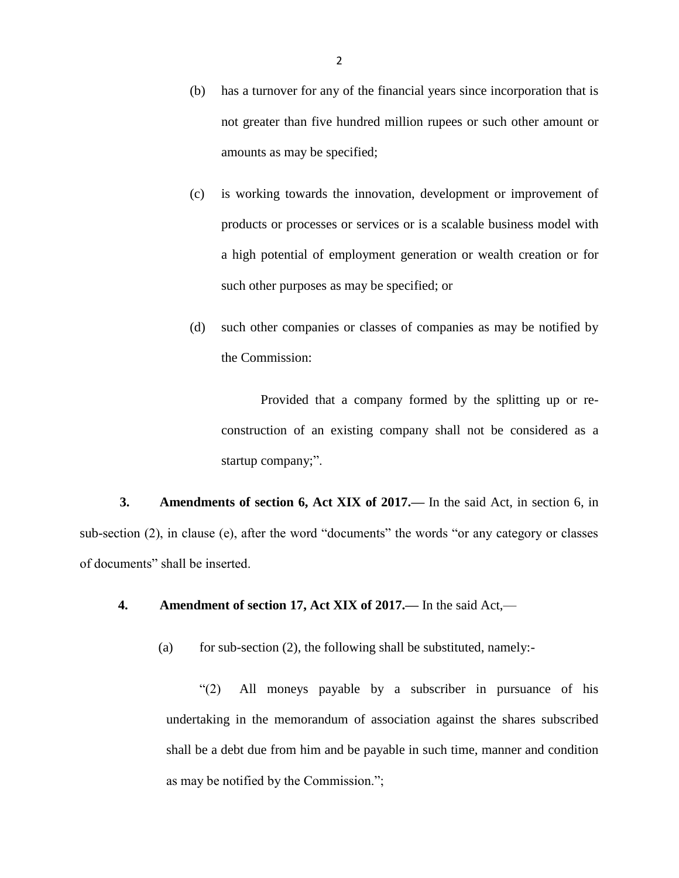- (b) has a turnover for any of the financial years since incorporation that is not greater than five hundred million rupees or such other amount or amounts as may be specified;
- (c) is working towards the innovation, development or improvement of products or processes or services or is a scalable business model with a high potential of employment generation or wealth creation or for such other purposes as may be specified; or
- (d) such other companies or classes of companies as may be notified by the Commission:

Provided that a company formed by the splitting up or reconstruction of an existing company shall not be considered as a startup company;".

**3. Amendments of section 6, Act XIX of 2017.—** In the said Act, in section 6, in sub-section (2), in clause (e), after the word "documents" the words "or any category or classes of documents" shall be inserted.

**4. Amendment of section 17, Act XIX of 2017.—** In the said Act,—

(a) for sub-section  $(2)$ , the following shall be substituted, namely:-

"(2) All moneys payable by a subscriber in pursuance of his undertaking in the memorandum of association against the shares subscribed shall be a debt due from him and be payable in such time, manner and condition as may be notified by the Commission.";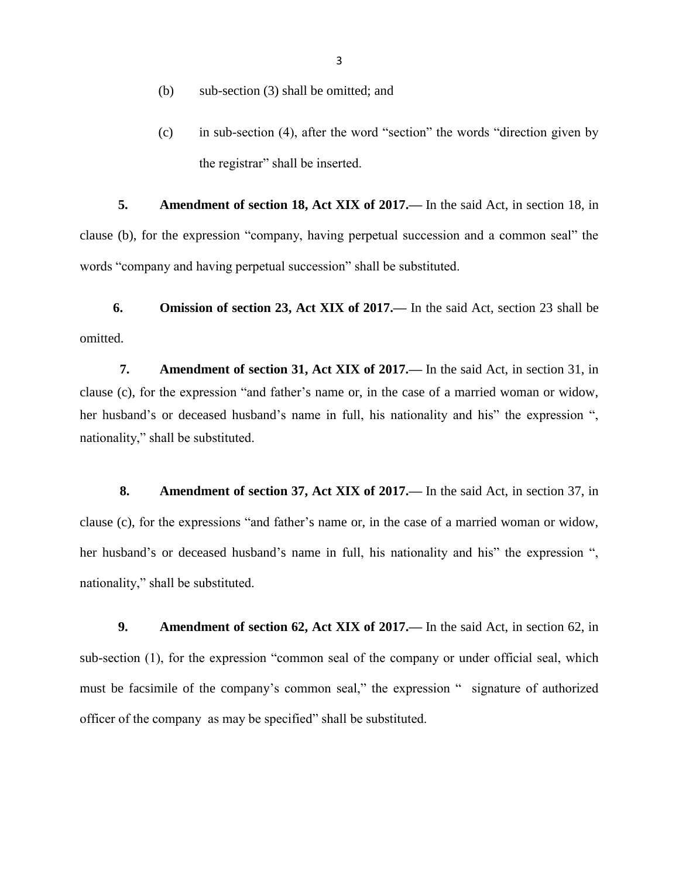- (b) sub-section (3) shall be omitted; and
- (c) in sub-section (4), after the word "section" the words "direction given by the registrar" shall be inserted.

**5. Amendment of section 18, Act XIX of 2017.—** In the said Act, in section 18, in clause (b), for the expression "company, having perpetual succession and a common seal" the words "company and having perpetual succession" shall be substituted.

**6. Omission of section 23, Act XIX of 2017.—** In the said Act, section 23 shall be omitted.

**7. Amendment of section 31, Act XIX of 2017.—** In the said Act, in section 31, in clause (c), for the expression "and father's name or, in the case of a married woman or widow, her husband's or deceased husband's name in full, his nationality and his" the expression ", nationality," shall be substituted.

**8. Amendment of section 37, Act XIX of 2017.—** In the said Act, in section 37, in clause (c), for the expressions "and father's name or, in the case of a married woman or widow, her husband's or deceased husband's name in full, his nationality and his" the expression ", nationality," shall be substituted.

**9. Amendment of section 62, Act XIX of 2017.—** In the said Act, in section 62, in sub-section (1), for the expression "common seal of the company or under official seal, which must be facsimile of the company's common seal," the expression " signature of authorized officer of the company as may be specified" shall be substituted.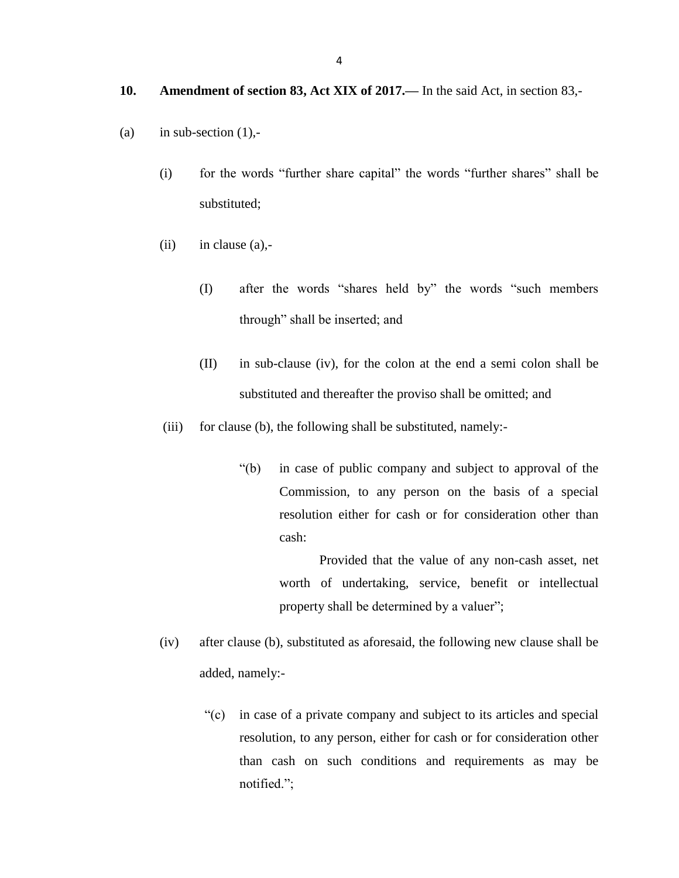#### **10. Amendment of section 83, Act XIX of 2017.—** In the said Act, in section 83,-

- (a) in sub-section  $(1)$ ,-
	- (i) for the words "further share capital" the words "further shares" shall be substituted;
	- $(ii)$  in clause  $(a)$ ,-
		- (I) after the words "shares held by" the words "such members through" shall be inserted; and
		- (II) in sub-clause (iv), for the colon at the end a semi colon shall be substituted and thereafter the proviso shall be omitted; and
	- (iii) for clause (b), the following shall be substituted, namely:-
		- "(b) in case of public company and subject to approval of the Commission, to any person on the basis of a special resolution either for cash or for consideration other than cash:

Provided that the value of any non-cash asset, net worth of undertaking, service, benefit or intellectual property shall be determined by a valuer";

- (iv) after clause (b), substituted as aforesaid, the following new clause shall be added, namely:-
	- "(c) in case of a private company and subject to its articles and special resolution, to any person, either for cash or for consideration other than cash on such conditions and requirements as may be notified.";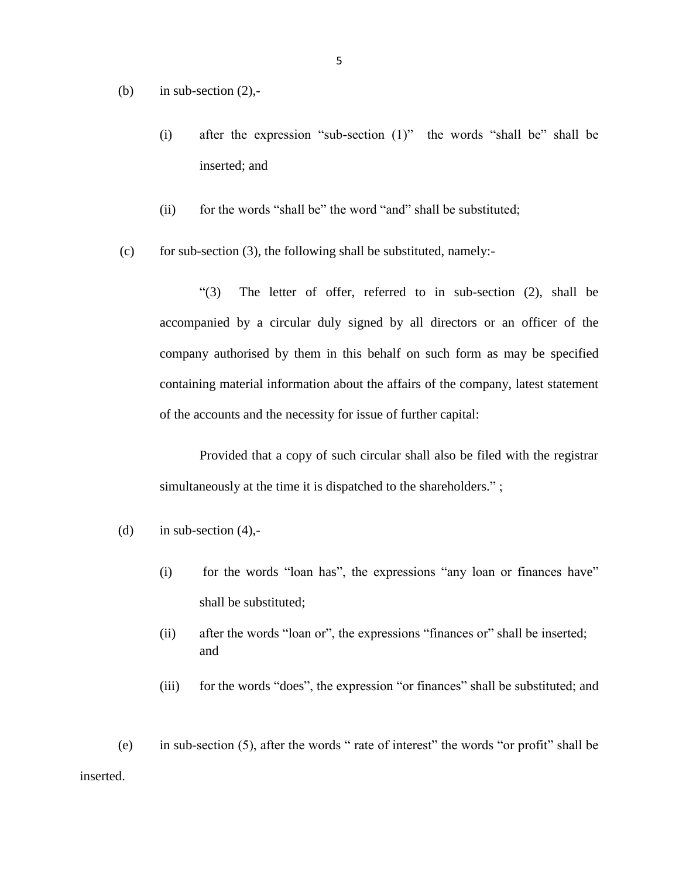- (b) in sub-section  $(2)$ ,-
	- (i) after the expression "sub-section (1)" the words "shall be" shall be inserted; and
	- (ii) for the words "shall be" the word "and" shall be substituted;
- (c) for sub-section (3), the following shall be substituted, namely:-

"(3) The letter of offer, referred to in sub-section (2), shall be accompanied by a circular duly signed by all directors or an officer of the company authorised by them in this behalf on such form as may be specified containing material information about the affairs of the company, latest statement of the accounts and the necessity for issue of further capital:

Provided that a copy of such circular shall also be filed with the registrar simultaneously at the time it is dispatched to the shareholders.";

- (d) in sub-section  $(4)$ ,-
	- (i) for the words "loan has", the expressions "any loan or finances have" shall be substituted;
	- (ii) after the words "loan or", the expressions "finances or" shall be inserted; and
	- (iii) for the words "does", the expression "or finances" shall be substituted; and

(e) in sub-section (5), after the words " rate of interest" the words "or profit" shall be inserted.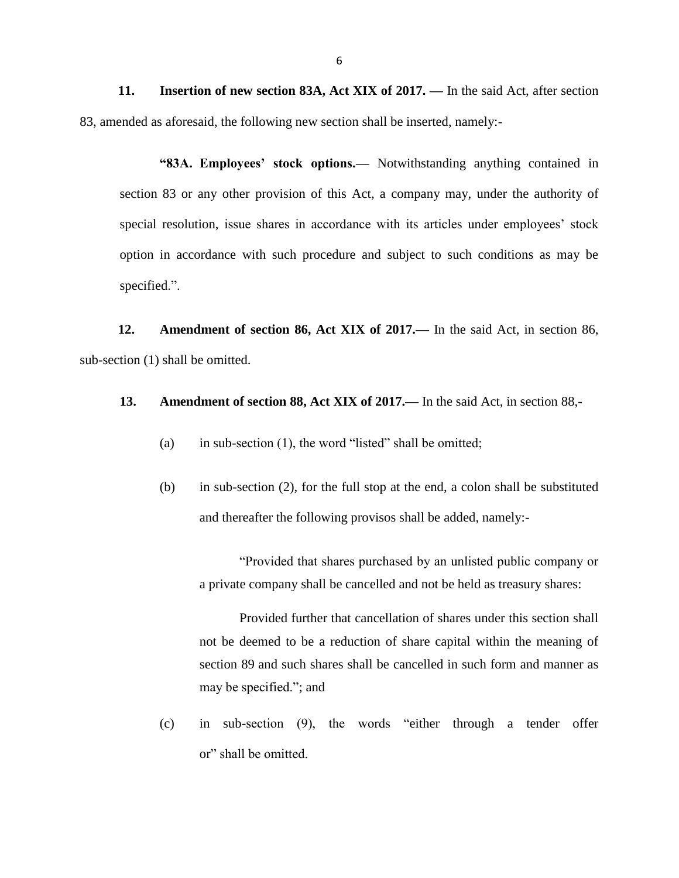**11. Insertion of new section 83A, Act XIX of 2017. —** In the said Act, after section 83, amended as aforesaid, the following new section shall be inserted, namely:-

**"83A. Employees' stock options.—** Notwithstanding anything contained in section 83 or any other provision of this Act, a company may, under the authority of special resolution, issue shares in accordance with its articles under employees' stock option in accordance with such procedure and subject to such conditions as may be specified.".

**12. Amendment of section 86, Act XIX of 2017.—** In the said Act, in section 86, sub-section (1) shall be omitted.

# **13. Amendment of section 88, Act XIX of 2017.—** In the said Act, in section 88,-

- (a) in sub-section  $(1)$ , the word "listed" shall be omitted;
- (b) in sub-section (2), for the full stop at the end, a colon shall be substituted and thereafter the following provisos shall be added, namely:-

"Provided that shares purchased by an unlisted public company or a private company shall be cancelled and not be held as treasury shares:

Provided further that cancellation of shares under this section shall not be deemed to be a reduction of share capital within the meaning of section 89 and such shares shall be cancelled in such form and manner as may be specified."; and

(c) in sub-section (9), the words "either through a tender offer or" shall be omitted.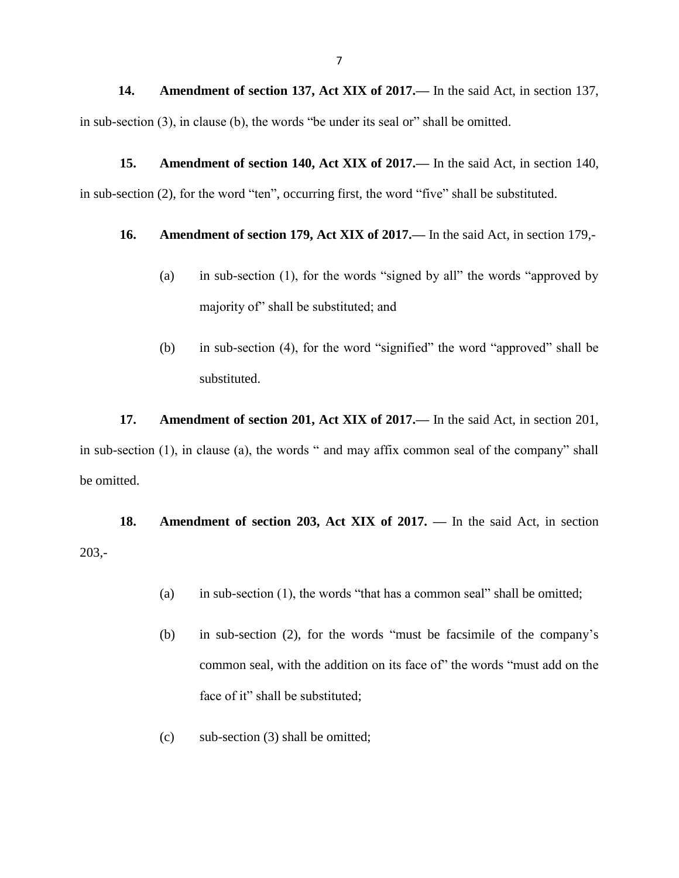**14. Amendment of section 137, Act XIX of 2017.—** In the said Act, in section 137, in sub-section (3), in clause (b), the words "be under its seal or" shall be omitted.

**15. Amendment of section 140, Act XIX of 2017.—** In the said Act, in section 140, in sub-section (2), for the word "ten", occurring first, the word "five" shall be substituted.

## **16. Amendment of section 179, Act XIX of 2017.—** In the said Act, in section 179,-

- (a) in sub-section (1), for the words "signed by all" the words "approved by majority of" shall be substituted; and
- (b) in sub-section (4), for the word "signified" the word "approved" shall be substituted.

**17. Amendment of section 201, Act XIX of 2017.—** In the said Act, in section 201, in sub-section (1), in clause (a), the words " and may affix common seal of the company" shall be omitted.

**18. Amendment of section 203, Act XIX of 2017. —** In the said Act, in section 203,-

- (a) in sub-section (1), the words "that has a common seal" shall be omitted;
- (b) in sub-section (2), for the words "must be facsimile of the company's common seal, with the addition on its face of" the words "must add on the face of it" shall be substituted;
- (c) sub-section (3) shall be omitted;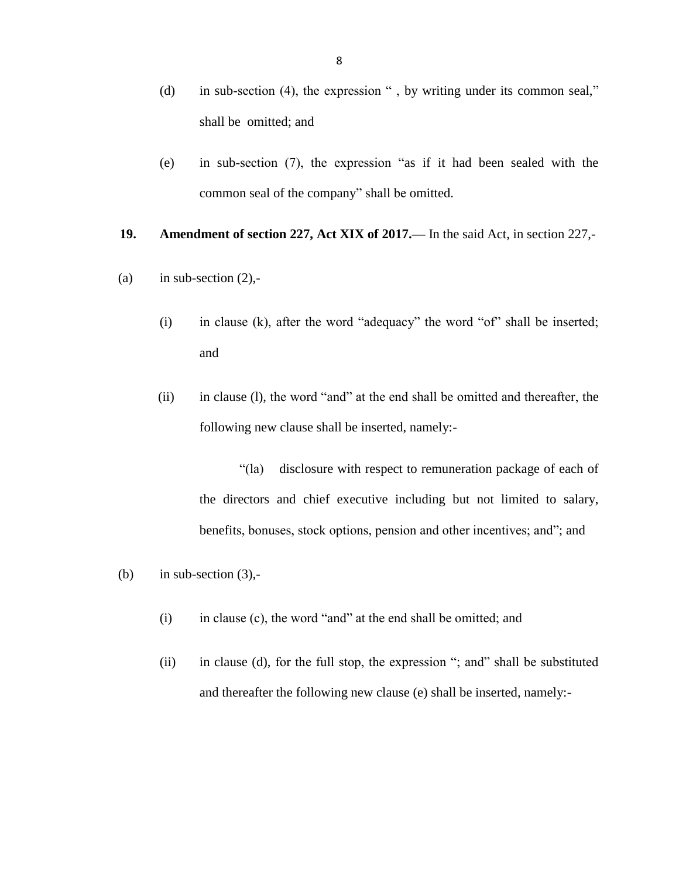- (d) in sub-section (4), the expression " , by writing under its common seal," shall be omitted; and
- (e) in sub-section (7), the expression "as if it had been sealed with the common seal of the company" shall be omitted.

#### **19. Amendment of section 227, Act XIX of 2017.—** In the said Act, in section 227,-

- (a) in sub-section  $(2)$ ,-
	- (i) in clause (k), after the word "adequacy" the word "of" shall be inserted; and
	- (ii) in clause (l), the word "and" at the end shall be omitted and thereafter, the following new clause shall be inserted, namely:-

"(la) disclosure with respect to remuneration package of each of the directors and chief executive including but not limited to salary, benefits, bonuses, stock options, pension and other incentives; and"; and

(b) in sub-section  $(3)$ ,-

- (i) in clause (c), the word "and" at the end shall be omitted; and
- (ii) in clause (d), for the full stop, the expression "; and" shall be substituted and thereafter the following new clause (e) shall be inserted, namely:-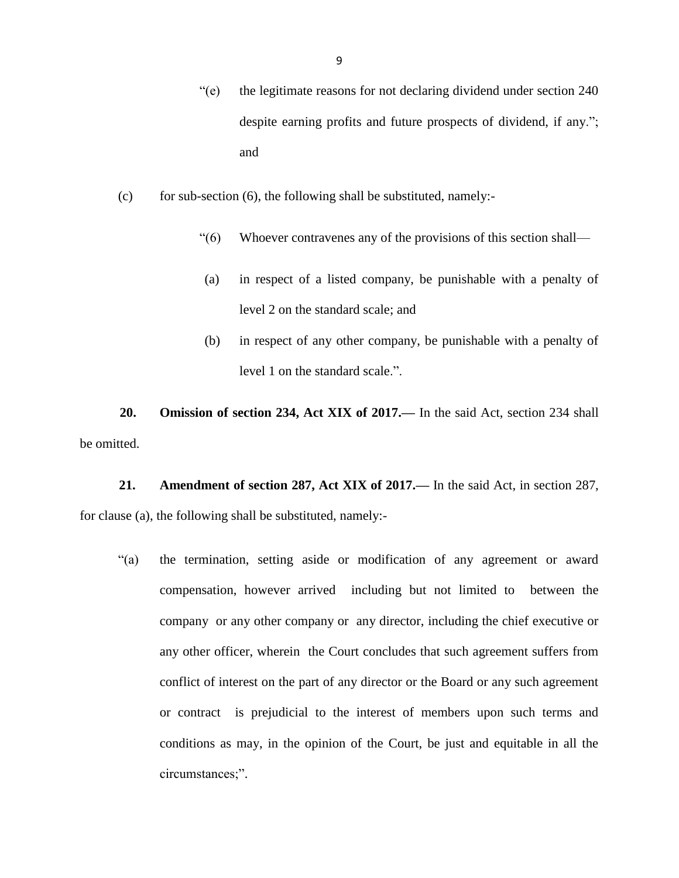- "(e) the legitimate reasons for not declaring dividend under section 240 despite earning profits and future prospects of dividend, if any."; and
- (c) for sub-section  $(6)$ , the following shall be substituted, namely:-
	- "(6) Whoever contravenes any of the provisions of this section shall—
	- (a) in respect of a listed company, be punishable with a penalty of level 2 on the standard scale; and
	- (b) in respect of any other company, be punishable with a penalty of level 1 on the standard scale.".

**20. Omission of section 234, Act XIX of 2017.—** In the said Act, section 234 shall be omitted.

**21. Amendment of section 287, Act XIX of 2017.—** In the said Act, in section 287, for clause (a), the following shall be substituted, namely:-

"(a) the termination, setting aside or modification of any agreement or award compensation, however arrived including but not limited to between the company or any other company or any director, including the chief executive or any other officer, wherein the Court concludes that such agreement suffers from conflict of interest on the part of any director or the Board or any such agreement or contract is prejudicial to the interest of members upon such terms and conditions as may, in the opinion of the Court, be just and equitable in all the circumstances;".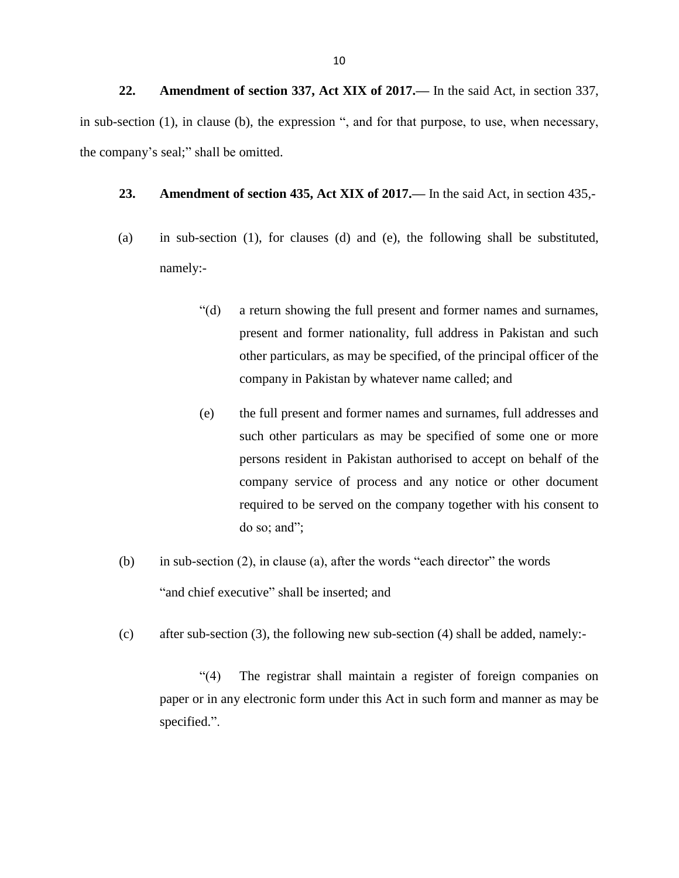**22. Amendment of section 337, Act XIX of 2017.—** In the said Act, in section 337, in sub-section (1), in clause (b), the expression ", and for that purpose, to use, when necessary, the company's seal;" shall be omitted.

- **23. Amendment of section 435, Act XIX of 2017.—** In the said Act, in section 435,-
- (a) in sub-section (1), for clauses (d) and (e), the following shall be substituted, namely:-
	- "(d) a return showing the full present and former names and surnames, present and former nationality, full address in Pakistan and such other particulars, as may be specified, of the principal officer of the company in Pakistan by whatever name called; and
	- (e) the full present and former names and surnames, full addresses and such other particulars as may be specified of some one or more persons resident in Pakistan authorised to accept on behalf of the company service of process and any notice or other document required to be served on the company together with his consent to do so; and";
- (b) in sub-section (2), in clause (a), after the words "each director" the words "and chief executive" shall be inserted; and
- (c) after sub-section (3), the following new sub-section (4) shall be added, namely:-

"(4) The registrar shall maintain a register of foreign companies on paper or in any electronic form under this Act in such form and manner as may be specified.".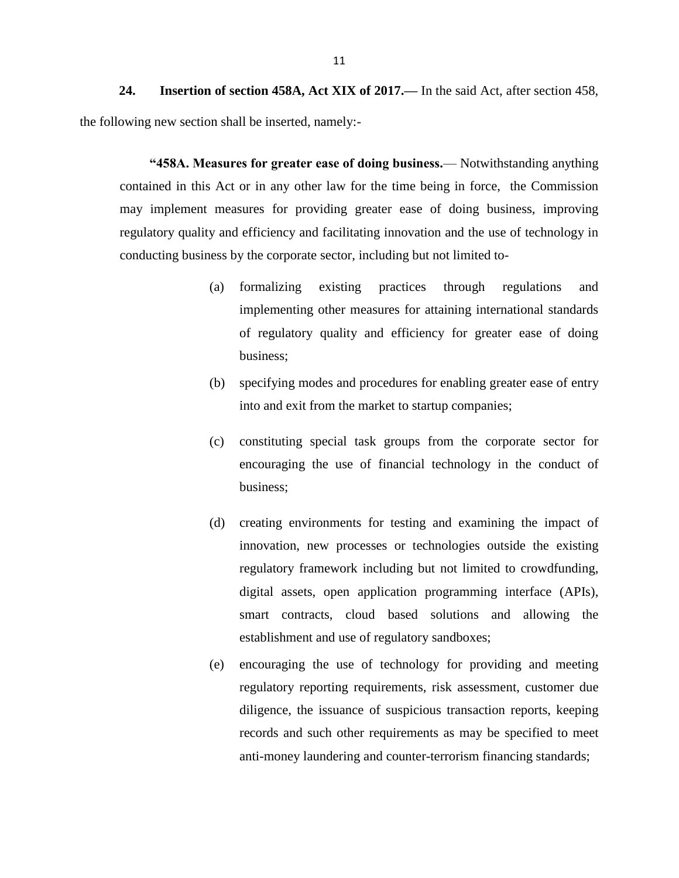**24. Insertion of section 458A, Act XIX of 2017.—** In the said Act, after section 458, the following new section shall be inserted, namely:-

**"458A. Measures for greater ease of doing business.**— Notwithstanding anything contained in this Act or in any other law for the time being in force, the Commission may implement measures for providing greater ease of doing business, improving regulatory quality and efficiency and facilitating innovation and the use of technology in conducting business by the corporate sector, including but not limited to-

- (a) formalizing existing practices through regulations and implementing other measures for attaining international standards of regulatory quality and efficiency for greater ease of doing business;
- (b) specifying modes and procedures for enabling greater ease of entry into and exit from the market to startup companies;
- (c) constituting special task groups from the corporate sector for encouraging the use of financial technology in the conduct of business;
- (d) creating environments for testing and examining the impact of innovation, new processes or technologies outside the existing regulatory framework including but not limited to crowdfunding, digital assets, open application programming interface (APIs), smart contracts, cloud based solutions and allowing the establishment and use of regulatory sandboxes;
- (e) encouraging the use of technology for providing and meeting regulatory reporting requirements, risk assessment, customer due diligence, the issuance of suspicious transaction reports, keeping records and such other requirements as may be specified to meet anti-money laundering and counter-terrorism financing standards;